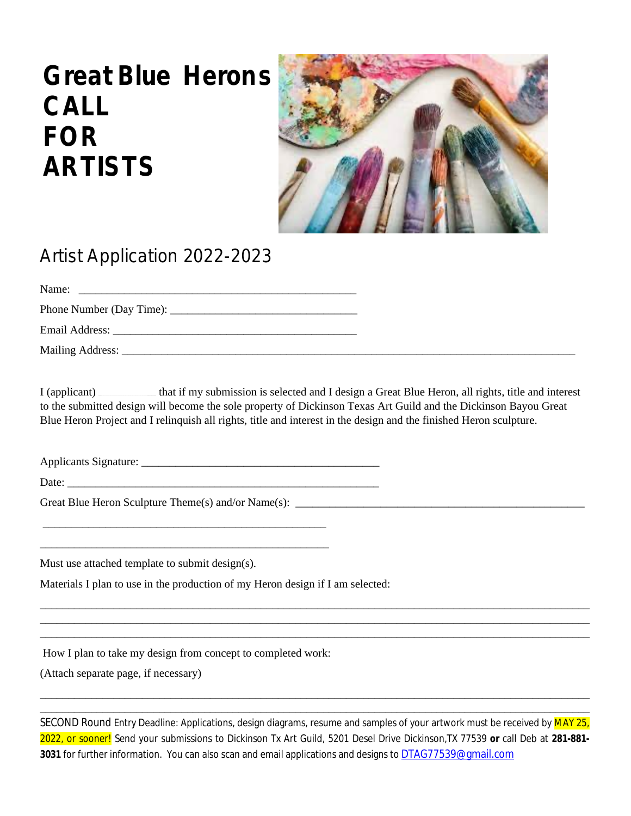## **Great Blue Herons CALL FOR ARTISTS**



| Artist Application 2022-2023                                                                                                                                                                                                  |  |
|-------------------------------------------------------------------------------------------------------------------------------------------------------------------------------------------------------------------------------|--|
| Name: Name and the second contract of the second contract of the second contract of the second contract of the second contract of the second contract of the second contract of the second contract of the second contract of |  |
|                                                                                                                                                                                                                               |  |
|                                                                                                                                                                                                                               |  |
|                                                                                                                                                                                                                               |  |
|                                                                                                                                                                                                                               |  |

I (applicant) \_\_\_\_\_\_————————————————————————————————————————————-\_\_\_\_\_\_\_\_\_\_\_\_\_\_\_\_\_ that if my submission is selected and I design a Great Blue Heron, all rights, title and interest to the submitted design will become the sole property of Dickinson Texas Art Guild and the Dickinson Bayou Great Blue Heron Project and I relinquish all rights, title and interest in the design and the finished Heron sculpture.

Applicants Signature: \_\_\_\_\_\_\_\_\_\_\_\_\_\_\_\_\_\_\_\_\_\_\_\_\_\_\_\_\_\_\_\_\_\_\_\_\_\_\_\_\_\_

Date:

Great Blue Heron Sculpture Theme(s) and/or  $Name(s)$ :  $\Box$ 

 \_\_\_\_\_\_\_\_\_\_\_\_\_\_\_\_\_\_\_\_\_\_\_\_\_\_\_\_\_\_\_\_\_\_\_\_\_\_\_\_\_\_\_\_\_\_\_\_\_\_ \_\_\_\_\_\_\_\_\_\_\_\_\_\_\_\_\_\_\_\_\_\_\_\_\_\_\_\_\_\_\_\_\_\_\_\_\_\_\_\_\_\_\_\_\_\_\_\_\_\_\_

Must use attached template to submit design(s).

Materials I plan to use in the production of my Heron design if I am selected:

How I plan to take my design from concept to completed work:

(Attach separate page, if necessary)

SECOND Round Entry Deadline: Applications, design diagrams, resume and samples of your artwork must be received by MAY 25, 2022, or sooner! Send your submissions to Dickinson Tx Art Guild, 5201 Desel Drive Dickinson,TX 77539 **or** call Deb at **281-881- 3031** for further information. You can also scan and email applications and designs to [DTAG77539@gmail.com](mailto:DTAG77539@gmail.com)

\_\_\_\_\_\_\_\_\_\_\_\_\_\_\_\_\_\_\_\_\_\_\_\_\_\_\_\_\_\_\_\_\_\_\_\_\_\_\_\_\_\_\_\_\_\_\_\_\_\_\_\_\_\_\_\_\_\_\_\_\_\_\_\_\_\_\_\_\_\_\_\_\_\_\_\_\_\_\_\_\_\_\_\_\_\_\_\_\_\_\_\_\_\_\_\_\_ \_\_\_\_\_\_\_\_\_\_\_\_\_\_\_\_\_\_\_\_\_\_\_\_\_\_\_\_\_\_\_\_\_\_\_\_\_\_\_\_\_\_\_\_\_\_\_\_\_\_\_\_\_\_\_\_\_\_\_\_\_\_\_\_\_\_\_\_\_\_\_\_\_\_\_\_\_\_\_\_\_\_\_\_\_\_\_\_\_\_\_\_\_\_\_\_\_

\_\_\_\_\_\_\_\_\_\_\_\_\_\_\_\_\_\_\_\_\_\_\_\_\_\_\_\_\_\_\_\_\_\_\_\_\_\_\_\_\_\_\_\_\_\_\_\_\_\_\_\_\_\_\_\_\_\_\_\_\_\_\_\_\_\_\_\_\_\_\_\_\_\_\_\_\_\_\_\_\_\_\_\_\_\_\_\_\_\_\_\_\_\_\_\_\_ \_\_\_\_\_\_\_\_\_\_\_\_\_\_\_\_\_\_\_\_\_\_\_\_\_\_\_\_\_\_\_\_\_\_\_\_\_\_\_\_\_\_\_\_\_\_\_\_\_\_\_\_\_\_\_\_\_\_\_\_\_\_\_\_\_\_\_\_\_\_\_\_\_\_\_\_\_\_\_\_\_\_\_\_\_\_\_\_\_\_\_\_\_\_\_\_\_ \_\_\_\_\_\_\_\_\_\_\_\_\_\_\_\_\_\_\_\_\_\_\_\_\_\_\_\_\_\_\_\_\_\_\_\_\_\_\_\_\_\_\_\_\_\_\_\_\_\_\_\_\_\_\_\_\_\_\_\_\_\_\_\_\_\_\_\_\_\_\_\_\_\_\_\_\_\_\_\_\_\_\_\_\_\_\_\_\_\_\_\_\_\_\_\_\_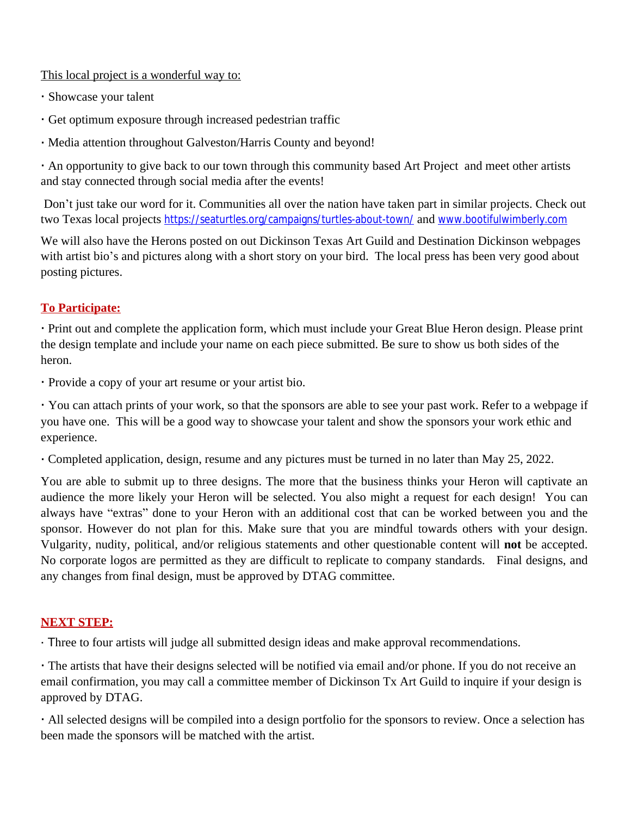This local project is a wonderful way to:

- **·** Showcase your talent
- **·** Get optimum exposure through increased pedestrian traffic
- **·** Media attention throughout Galveston/Harris County and beyond!

**·** An opportunity to give back to our town through this community based Art Project and meet other artists and stay connected through social media after the events!

 Don't just take our word for it. Communities all over the nation have taken part in similar projects. Check out two Texas local projects <https://seaturtles.org/campaigns/turtles-about-town/> and [www.bootifulwimberly.com](http://www.bootifulwimberly.com)

[We will also have the Herons posted on out Dickinson Texas Art Guild and Destination Dickinson webpages](http://www.bootifulwimberly.com)  [with artist bio](http://www.bootifulwimberly.com)['](http://www.bootifulwimberly.com)[s and pictures along with a short story on your bird. The local press has been very good about](http://www.bootifulwimberly.com)  [posting pictures.](http://www.bootifulwimberly.com)

## **[To Participate:](http://www.bootifulwimberly.com)**

**[·](http://www.bootifulwimberly.com)** [Print out and complete the application form, which must include your Great Blue Heron design. Please print](http://www.bootifulwimberly.com)  [the design template and include your name on each piece submitted. Be sure to show us both sides of the](http://www.bootifulwimberly.com)  [heron.](http://www.bootifulwimberly.com)

**[·](http://www.bootifulwimberly.com)** [Provide a copy of your art resume or your artist bio.](http://www.bootifulwimberly.com)

**[·](http://www.bootifulwimberly.com)** [You can attach prints of your work, so that the sponsors are able to see your past work. Refer to a webpage if](http://www.bootifulwimberly.com) [you have one. This will be a good way to showcase your talent and show the sponsors your work ethic and](http://www.bootifulwimberly.com)  [experience.](http://www.bootifulwimberly.com) 

**[·](http://www.bootifulwimberly.com)** [Completed application, design, resume and any pictures must be turned in no later than May 25, 2022.](http://www.bootifulwimberly.com)

You are able to submit up to three [designs.](http://www.bootifulwimberly.com) The more that the business thinks your Heron will [captivate](http://www.bootifulwimberly.com) an [audience](http://www.bootifulwimberly.com) the more likely your Heron will be selected. You also might a request for each [design!](http://www.bootifulwimberly.com) [You](http://www.bootifulwimberly.com) can [always](http://www.bootifulwimberly.com) have ["](http://www.bootifulwimberly.com)[extras](http://www.bootifulwimberly.com)["](http://www.bootifulwimberly.com) done to your Heron with an [additional](http://www.bootifulwimberly.com) cost that can be worked [between](http://www.bootifulwimberly.com) you and the [sponsor.](http://www.bootifulwimberly.com) [However](http://www.bootifulwimberly.com) do not plan for this. Make sure that you are mindful towards others with your design. [Vulgarity,](http://www.bootifulwimberly.com) nudity, political, and/or religious [statements](http://www.bootifulwimberly.com) [and](http://www.bootifulwimberly.com) [other](http://www.bootifulwimberly.com) [questionable](http://www.bootifulwimberly.com) content will **[not](http://www.bootifulwimberly.com)** be [accepted.](http://www.bootifulwimberly.com) No corporate logos are permitted as they are difficult to replicate to company [standards.](http://www.bootifulwimberly.com) Final [designs,](http://www.bootifulwimberly.com) [and](http://www.bootifulwimberly.com) [any changes from final design, must be approved by DTAG committee.](http://www.bootifulwimberly.com)

## **[NEXT STEP:](http://www.bootifulwimberly.com)**

**[·](http://www.bootifulwimberly.com)** [T](http://www.bootifulwimberly.com)[hree to four artists will judge all submitted design ideas and make approval recommendations.](http://www.bootifulwimberly.com)

**[·](http://www.bootifulwimberly.com)** [The artists that have their designs selected will be notified via email and/or phone. If you do not receive an](http://www.bootifulwimberly.com)  [email confirmation, you may call a committee member of Dickinson Tx Art Guild](http://www.bootifulwimberly.com) [to inquire if your design is](http://www.bootifulwimberly.com)  [approved by DTAG.](http://www.bootifulwimberly.com)

**[·](http://www.bootifulwimberly.com)** [All selected designs will be compiled into a design portfolio for the sponsors to review. Once a selection has](http://www.bootifulwimberly.com)  [been made the sponsors will be matched with the artist.](http://www.bootifulwimberly.com)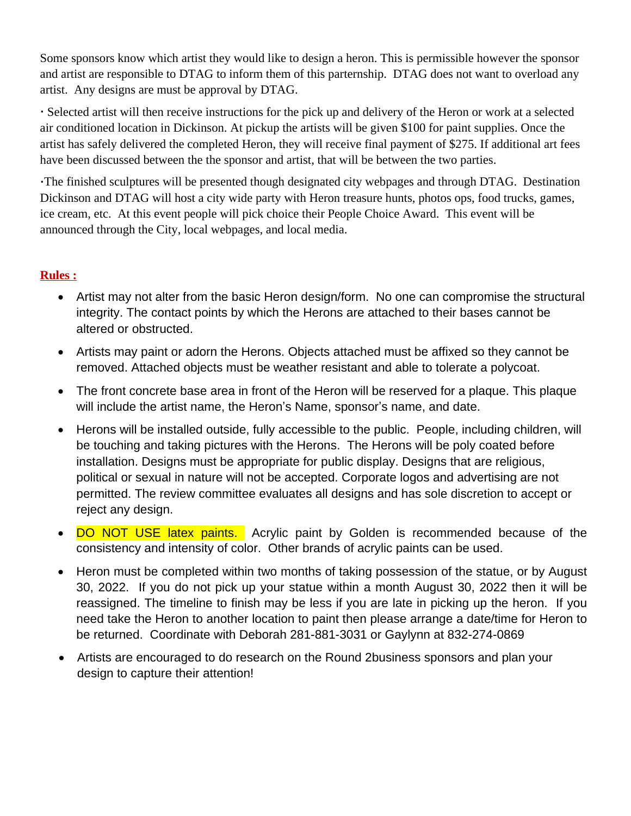Some sponsors know which artist they would like to design a heron. This is permissible however the sponsor and artist are responsible to DTAG to inform them of this parternship. DTAG does not want to overload any artist. Any designs are must be approval by DTAG.

**·** Selected artist will then receive instructions for the pick up and delivery of the Heron or work at a selected air conditioned location in Dickinson. At pickup the artists will be given \$100 for paint supplies. Once the artist has safely delivered the completed Heron, they will receive final payment of \$275. If additional art fees have been discussed between the the sponsor and artist, that will be between the two parties.

**·**The finished sculptures will be presented though designated city webpages and through DTAG. Destination Dickinson and DTAG will host a city wide party with Heron treasure hunts, photos ops, food trucks, games, ice cream, etc. At this event people will pick choice their People Choice Award. This event will be announced through the City, local webpages, and local media.

## **Rules :**

- · Artist may not alter from the basic Heron design/form. No one can compromise the structural integrity. The contact points by which the Herons are attached to their bases cannot be altered or obstructed.
- · Artists may paint or adorn the Herons. Objects attached must be affixed so they cannot be removed. Attached objects must be weather resistant and able to tolerate a polycoat.
- · The front concrete base area in front of the Heron will be reserved for a plaque. This plaque will include the artist name, the Heron's Name, sponsor's name, and date.
- · Herons will be installed outside, fully accessible to the public. People, including children, will be touching and taking pictures with the Herons. The Herons will be poly coated before installation. Designs must be appropriate for public display. Designs that are religious, political or sexual in nature will not be accepted. Corporate logos and advertising are not permitted. The review committee evaluates all designs and has sole discretion to accept or reject any design.
- DO NOT USE latex paints. Acrylic paint by Golden is recommended because of the consistency and intensity of color. Other brands of acrylic paints can be used.
- · Heron must be completed within two months of taking possession of the statue, or by August 30, 2022. If you do not pick up your statue within a month August 30, 2022 then it will be reassigned. The timeline to finish may be less if you are late in picking up the heron. If you need take the Heron to another location to paint then please arrange a date/time for Heron to be returned. Coordinate with Deborah 281-881-3031 or Gaylynn at 832-274-0869
- · Artists are encouraged to do research on the Round 2business sponsors and plan your design to capture their attention!